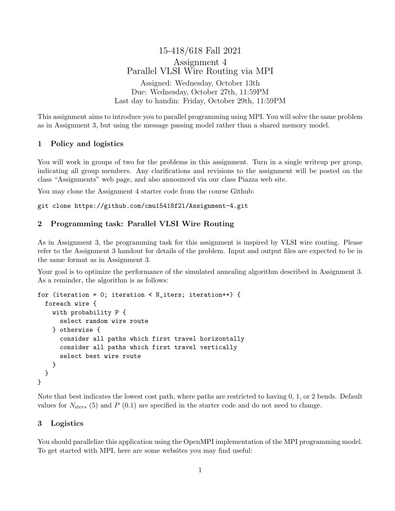15-418/618 Fall 2021 Assignment 4 Parallel VLSI Wire Routing via MPI Assigned: Wednesday, October 13th Due: Wednesday, October 27th, 11:59PM Last day to handin: Friday, October 29th, 11:59PM

This assignment aims to introduce you to parallel programming using MPI. You will solve the same problem as in Assignment 3, but using the message passing model rather than a shared memory model.

# 1 Policy and logistics

You will work in groups of two for the problems in this assignment. Turn in a single writeup per group, indicating all group members. Any clarifications and revisions to the assignment will be posted on the class "Assignments" web page, and also announced via our class Piazza web site.

You may clone the Assignment 4 starter code from the course Github:

git clone https://github.com/cmu15418f21/Assignment-4.git

# 2 Programming task: Parallel VLSI Wire Routing

As in Assignment 3, the programming task for this assignment is inspired by VLSI wire routing. Please refer to the Assignment 3 handout for details of the problem. Input and output files are expected to be in the same format as in Assignment 3.

Your goal is to optimize the performance of the simulated annealing algorithm described in Assignment 3. As a reminder, the algorithm is as follows:

```
for (iteration = 0; iteration < N_iters; iteration++) {
  foreach wire {
    with probability P {
      select random wire route
    } otherwise {
      consider all paths which first travel horizontally
      consider all paths which first travel vertically
      select best wire route
    }
  }
}
```
Note that best indicates the lowest cost path, where paths are restricted to having 0, 1, or 2 bends. Default values for  $N_{iters}$  (5) and P (0.1) are specified in the starter code and do not need to change.

### 3 Logistics

You should parallelize this application using the OpenMPI implementation of the MPI programming model. To get started with MPI, here are some websites you may find useful: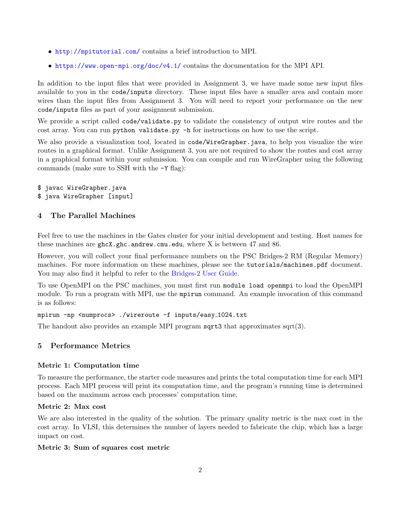- <http://mpitutorial.com/> contains a brief introduction to MPI.
- <https://www.open-mpi.org/doc/v4.1/> contains the documentation for the MPI API.

In addition to the input files that were provided in Assignment 3, we have made some new input files available to you in the code/inputs directory. These input files have a smaller area and contain more wires than the input files from Assignment 3. You will need to report your performance on the new code/inputs files as part of your assignment submission.

We provide a script called code/validate.py to validate the consistency of output wire routes and the cost array. You can run python validate.py -h for instructions on how to use the script.

We also provide a visualization tool, located in code/WireGrapher.java, to help you visualize the wire routes in a graphical format. Unlike Assignment 3, you are not required to show the routes and cost array in a graphical format within your submission. You can compile and run WireGrapher using the following commands (make sure to SSH with the -Y flag):

- \$ javac WireGrapher.java
- \$ java WireGrapher [input]

## 4 The Parallel Machines

Feel free to use the machines in the Gates cluster for your initial development and testing. Host names for these machines are ghcX.ghc.andrew.cmu.edu, where X is between 47 and 86.

However, you will collect your final performance numbers on the PSC Bridges-2 RM (Regular Memory) machines. For more information on these machines, please see the tutorials/machines.pdf document. You may also find it helpful to refer to the [Bridges-2 User Guide.](https://www.psc.edu/resources/bridges-2/user-guide-2/)

To use OpenMPI on the PSC machines, you must first run module load openmpi to load the OpenMPI module. To run a program with MPI, use the mpirun command. An example invocation of this command is as follows:

#### mpirun -np <numprocs> ./wireroute -f inputs/easy 1024.txt

The handout also provides an example MPI program  $sqrt{3}$  that approximates sqrt $(3)$ .

# <span id="page-1-0"></span>5 Performance Metrics

## Metric 1: Computation time

To measure the performance, the starter code measures and prints the total computation time for each MPI process. Each MPI process will print its computation time, and the program's running time is determined based on the maximum across each processes' computation time.

### Metric 2: Max cost

We are also interested in the quality of the solution. The primary quality metric is the max cost in the cost array. In VLSI, this determines the number of layers needed to fabricate the chip, which has a large impact on cost.

#### Metric 3: Sum of squares cost metric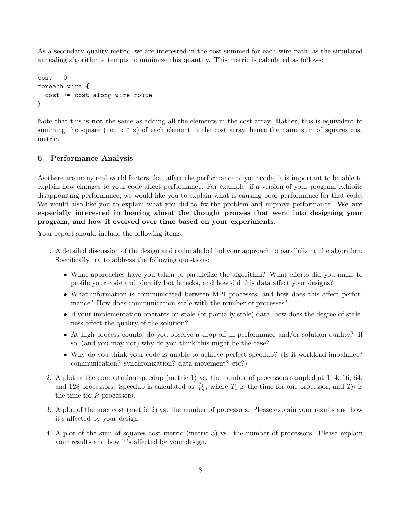As a secondary quality metric, we are interested in the cost summed for each wire path, as the simulated annealing algorithm attempts to minimize this quantity. This metric is calculated as follows:

```
cost = 0foreach wire {
  cost += cost along wire route
}
```
Note that this is not the same as adding all the elements in the cost array. Rather, this is equivalent to summing the square (i.e.,  $x * x$ ) of each element in the cost array, hence the name sum of squares cost metric.

## <span id="page-2-0"></span>6 Performance Analysis

As there are many real-world factors that affect the performance of your code, it is important to be able to explain how changes to your code affect performance. For example, if a version of your program exhibits disappointing performance, we would like you to explain what is causing poor performance for that code. We would also like you to explain what you did to fix the problem and improve performance. We are especially interested in hearing about the thought process that went into designing your program, and how it evolved over time based on your experiments.

Your report should include the following items:

- 1. A detailed discussion of the design and rationale behind your approach to parallelizing the algorithm. Specifically try to address the following questions:
	- What approaches have you taken to parallelize the algorithm? What efforts did you make to profile your code and identify bottlenecks, and how did this data affect your designs?
	- What information is communicated between MPI processes, and how does this affect performance? How does communication scale with the number of processes?
	- If your implementation operates on stale (or partially stale) data, how does the degree of staleness affect the quality of the solution?
	- At high process counts, do you observe a drop-off in performance and/or solution quality? If so, (and you may not) why do you think this might be the case?
	- Why do you think your code is unable to achieve perfect speedup? (Is it workload imbalance? communication? synchronization? data movement? etc?)
- 2. A plot of the computation speedup (metric 1) vs. the number of processors sampled at 1, 4, 16, 64, and 128 processors. Speedup is calculated as  $\frac{T_1}{T_P}$ , where  $T_1$  is the time for one processor, and  $T_P$  is the time for P processors.
- 3. A plot of the max cost (metric 2) vs. the number of processors. Please explain your results and how it's affected by your design.
- 4. A plot of the sum of squares cost metric (metric 3) vs. the number of processors. Please explain your results and how it's affected by your design.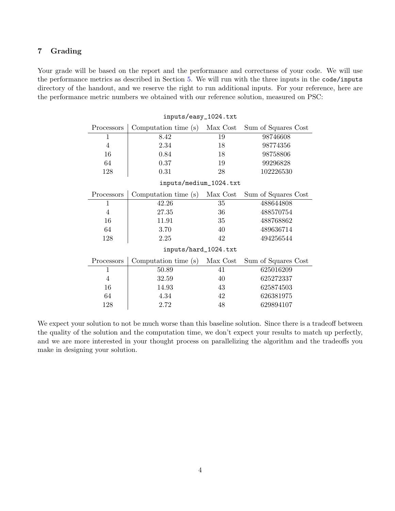# 7 Grading

Your grade will be based on the report and the performance and correctness of your code. We will use the performance metrics as described in Section [5.](#page-1-0) We will run with the three inputs in the code/inputs directory of the handout, and we reserve the right to run additional inputs. For your reference, here are the performance metric numbers we obtained with our reference solution, measured on PSC:

inputs/easy\_1024.txt

| Processors             | Computation time (s)   | Max Cost | Sum of Squares Cost |
|------------------------|------------------------|----------|---------------------|
| $\mathbf{1}$           | 8.42                   | 19       | 98746608            |
| $\overline{4}$         | 2.34                   | 18       | 98774356            |
| 16                     | 0.84                   | 18       | 98758806            |
| 64                     | 0.37                   | 19       | 99296828            |
| 128                    | 0.31                   | 28       | 102226530           |
| inputs/medium_1024.txt |                        |          |                     |
| Processors             | Computation time $(s)$ | Max Cost | Sum of Squares Cost |
| 1                      | 42.26                  | 35       | 488644808           |
| $\overline{4}$         | 27.35                  | 36       | 488570754           |
| 16                     | 11.91                  | 35       | 488768862           |
| 64                     | 3.70                   | 40       | 489636714           |
| 128                    | 2.25                   | 42       | 494256544           |
| inputs/hard_1024.txt   |                        |          |                     |
| Processors             | Computation time (s)   | Max Cost | Sum of Squares Cost |
| $\mathbf{1}$           | 50.89                  | 41       | 625016209           |
| $\overline{4}$         | 32.59                  | 40       | 625272337           |
| 16                     | 14.93                  | 43       | 625874503           |
| 64                     | 4.34                   | 42       | 626381975           |
| 128                    | 2.72                   | 48       | 629894107           |

We expect your solution to not be much worse than this baseline solution. Since there is a tradeoff between the quality of the solution and the computation time, we don't expect your results to match up perfectly, and we are more interested in your thought process on parallelizing the algorithm and the tradeoffs you make in designing your solution.